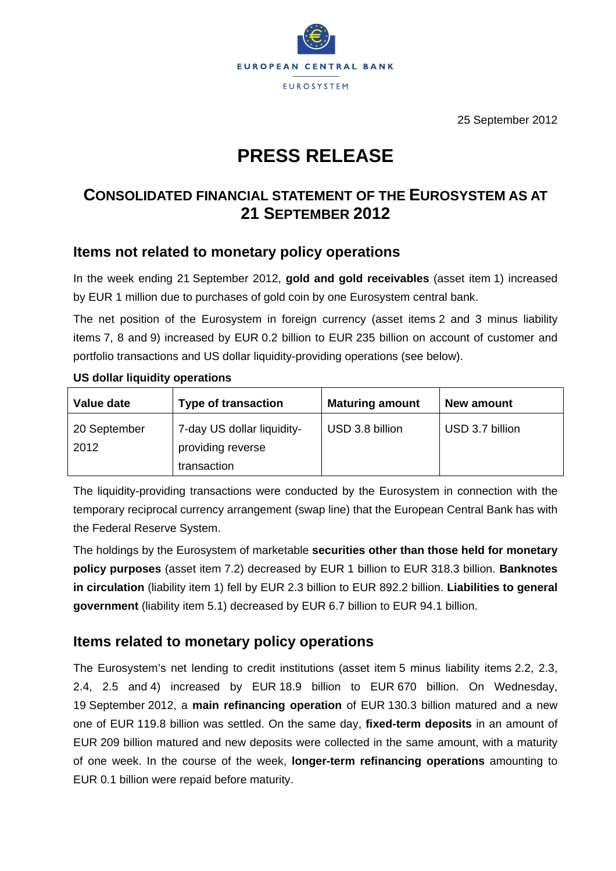

25 September 2012

# **PRESS RELEASE**

## **CONSOLIDATED FINANCIAL STATEMENT OF THE EUROSYSTEM AS AT 21 SEPTEMBER 2012**

### **Items not related to monetary policy operations**

In the week ending 21 September 2012, **gold and gold receivables** (asset item 1) increased by EUR 1 million due to purchases of gold coin by one Eurosystem central bank.

The net position of the Eurosystem in foreign currency (asset items 2 and 3 minus liability items 7, 8 and 9) increased by EUR 0.2 billion to EUR 235 billion on account of customer and portfolio transactions and US dollar liquidity-providing operations (see below).

| Value date           | <b>Type of transaction</b>                                     | <b>Maturing amount</b> | New amount      |
|----------------------|----------------------------------------------------------------|------------------------|-----------------|
| 20 September<br>2012 | 7-day US dollar liquidity-<br>providing reverse<br>transaction | USD 3.8 billion        | USD 3.7 billion |

#### **US dollar liquidity operations**

The liquidity-providing transactions were conducted by the Eurosystem in connection with the temporary reciprocal currency arrangement (swap line) that the European Central Bank has with the Federal Reserve System.

The holdings by the Eurosystem of marketable **securities other than those held for monetary policy purposes** (asset item 7.2) decreased by EUR 1 billion to EUR 318.3 billion. **Banknotes in circulation** (liability item 1) fell by EUR 2.3 billion to EUR 892.2 billion. **Liabilities to general government** (liability item 5.1) decreased by EUR 6.7 billion to EUR 94.1 billion.

### **Items related to monetary policy operations**

The Eurosystem's net lending to credit institutions (asset item 5 minus liability items 2.2, 2.3, 2.4, 2.5 and 4) increased by EUR 18.9 billion to EUR 670 billion. On Wednesday, 19 September 2012, a **main refinancing operation** of EUR 130.3 billion matured and a new one of EUR 119.8 billion was settled. On the same day, **fixed-term deposits** in an amount of EUR 209 billion matured and new deposits were collected in the same amount, with a maturity of one week. In the course of the week, **longer-term refinancing operations** amounting to EUR 0.1 billion were repaid before maturity.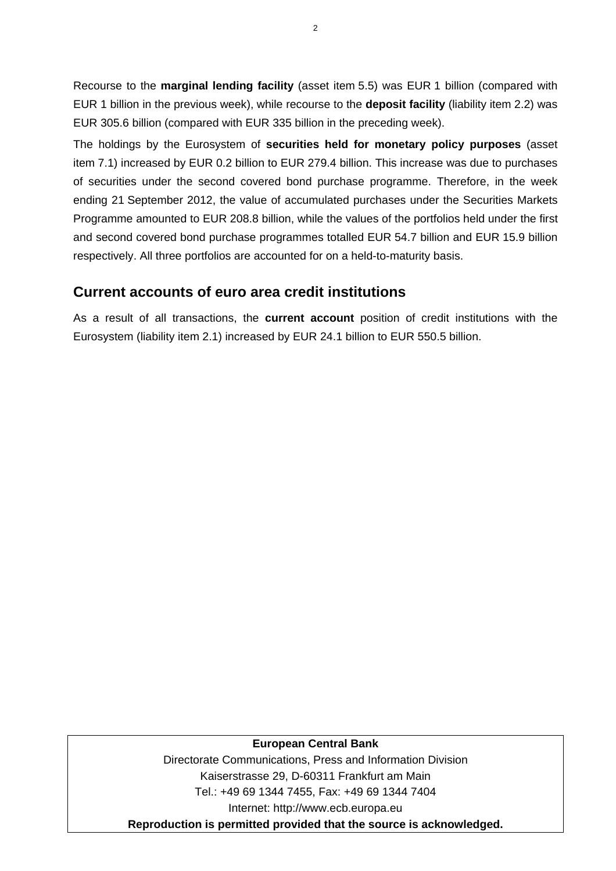Recourse to the **marginal lending facility** (asset item 5.5) was EUR 1 billion (compared with EUR 1 billion in the previous week), while recourse to the **deposit facility** (liability item 2.2) was EUR 305.6 billion (compared with EUR 335 billion in the preceding week).

The holdings by the Eurosystem of **securities held for monetary policy purposes** (asset item 7.1) increased by EUR 0.2 billion to EUR 279.4 billion. This increase was due to purchases of securities under the second covered bond purchase programme. Therefore, in the week ending 21 September 2012, the value of accumulated purchases under the Securities Markets Programme amounted to EUR 208.8 billion, while the values of the portfolios held under the first and second covered bond purchase programmes totalled EUR 54.7 billion and EUR 15.9 billion respectively. All three portfolios are accounted for on a held-to-maturity basis.

### **Current accounts of euro area credit institutions**

As a result of all transactions, the **current account** position of credit institutions with the Eurosystem (liability item 2.1) increased by EUR 24.1 billion to EUR 550.5 billion.

#### **European Central Bank**

Directorate Communications, Press and Information Division Kaiserstrasse 29, D-60311 Frankfurt am Main Tel.: +49 69 1344 7455, Fax: +49 69 1344 7404 Internet: http://www.ecb.europa.eu **Reproduction is permitted provided that the source is acknowledged.**